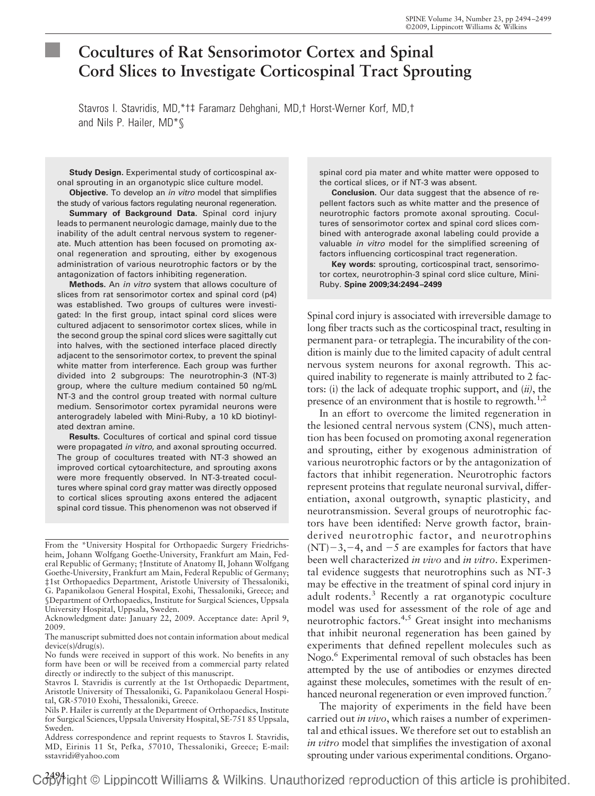# **Cocultures of Rat Sensorimotor Cortex and Spinal Cord Slices to Investigate Corticospinal Tract Sprouting**

Stavros I. Stavridis, MD,\*†‡ Faramarz Dehghani, MD,† Horst-Werner Korf, MD,† and Nils P. Hailer, MD\*§

**Study Design.** Experimental study of corticospinal axonal sprouting in an organotypic slice culture model.

**Objective.** To develop an *in vitro* model that simplifies the study of various factors regulating neuronal regeneration.

**Summary of Background Data.** Spinal cord injury leads to permanent neurologic damage, mainly due to the inability of the adult central nervous system to regenerate. Much attention has been focused on promoting axonal regeneration and sprouting, either by exogenous administration of various neurotrophic factors or by the antagonization of factors inhibiting regeneration.

**Methods.** An *in vitro* system that allows coculture of slices from rat sensorimotor cortex and spinal cord (p4) was established. Two groups of cultures were investigated: In the first group, intact spinal cord slices were cultured adjacent to sensorimotor cortex slices, while in the second group the spinal cord slices were sagittally cut into halves, with the sectioned interface placed directly adjacent to the sensorimotor cortex, to prevent the spinal white matter from interference. Each group was further divided into 2 subgroups: The neurotrophin-3 (NT-3) group, where the culture medium contained 50 ng/mL NT-3 and the control group treated with normal culture medium. Sensorimotor cortex pyramidal neurons were anterogradely labeled with Mini-Ruby, a 10 kD biotinylated dextran amine.

**Results.** Cocultures of cortical and spinal cord tissue were propagated *in vitro*, and axonal sprouting occurred. The group of cocultures treated with NT-3 showed an improved cortical cytoarchitecture, and sprouting axons were more frequently observed. In NT-3-treated cocultures where spinal cord gray matter was directly opposed to cortical slices sprouting axons entered the adjacent spinal cord tissue. This phenomenon was not observed if

From the \*University Hospital for Orthopaedic Surgery Friedrichsheim, Johann Wolfgang Goethe-University, Frankfurt am Main, Federal Republic of Germany; †Institute of Anatomy II, Johann Wolfgang Goethe-University, Frankfurt am Main, Federal Republic of Germany; ‡1st Orthopaedics Department, Aristotle University of Thessaloniki, G. Papanikolaou General Hospital, Exohi, Thessaloniki, Greece; and §Department of Orthopaedics, Institute for Surgical Sciences, Uppsala University Hospital, Uppsala, Sweden.

Acknowledgment date: January 22, 2009. Acceptance date: April 9, 2009.

The manuscript submitted does not contain information about medical device(s)/drug(s).

No funds were received in support of this work. No benefits in any form have been or will be received from a commercial party related directly or indirectly to the subject of this manuscript.

Stavros I. Stavridis is currently at the 1st Orthopaedic Department, Aristotle University of Thessaloniki, G. Papanikolaou General Hospital, GR-57010 Exohi, Thessaloniki, Greece.

Nils P. Hailer is currently at the Department of Orthopaedics, Institute for Surgical Sciences, Uppsala University Hospital, SE-751 85 Uppsala, Sweden.

Address correspondence and reprint requests to Stavros I. Stavridis, MD, Eirinis 11 St, Pefka, 57010, Thessaloniki, Greece; E-mail: sstavridi@yahoo.com

spinal cord pia mater and white matter were opposed to the cortical slices, or if NT-3 was absent.

**Conclusion.** Our data suggest that the absence of repellent factors such as white matter and the presence of neurotrophic factors promote axonal sprouting. Cocultures of sensorimotor cortex and spinal cord slices combined with anterograde axonal labeling could provide a valuable *in vitro* model for the simplified screening of factors influencing corticospinal tract regeneration.

**Key words:** sprouting, corticospinal tract, sensorimotor cortex, neurotrophin-3 spinal cord slice culture, Mini-Ruby. **Spine 2009;34:2494 –2499**

Spinal cord injury is associated with irreversible damage to long fiber tracts such as the corticospinal tract, resulting in permanent para- or tetraplegia. The incurability of the condition is mainly due to the limited capacity of adult central nervous system neurons for axonal regrowth. This acquired inability to regenerate is mainly attributed to 2 factors: (i) the lack of adequate trophic support, and (*ii)*, the presence of an environment that is hostile to regrowth.<sup>1,2</sup>

In an effort to overcome the limited regeneration in the lesioned central nervous system (CNS), much attention has been focused on promoting axonal regeneration and sprouting, either by exogenous administration of various neurotrophic factors or by the antagonization of factors that inhibit regeneration. Neurotrophic factors represent proteins that regulate neuronal survival, differentiation, axonal outgrowth, synaptic plasticity, and neurotransmission. Several groups of neurotrophic factors have been identified: Nerve growth factor, brainderived neurotrophic factor, and neurotrophins  $(NT)-3$ , -4, and -5 are examples for factors that have been well characterized *in vivo* and *in vitro*. Experimental evidence suggests that neurotrophins such as NT-3 may be effective in the treatment of spinal cord injury in adult rodents.<sup>3</sup> Recently a rat organotypic coculture model was used for assessment of the role of age and neurotrophic factors.<sup>4,5</sup> Great insight into mechanisms that inhibit neuronal regeneration has been gained by experiments that defined repellent molecules such as Nogo.<sup>6</sup> Experimental removal of such obstacles has been attempted by the use of antibodies or enzymes directed against these molecules, sometimes with the result of enhanced neuronal regeneration or even improved function.<sup>7</sup>

The majority of experiments in the field have been carried out *in vivo*, which raises a number of experimental and ethical issues. We therefore set out to establish an *in vitro* model that simplifies the investigation of axonal sprouting under various experimental conditions. Organo-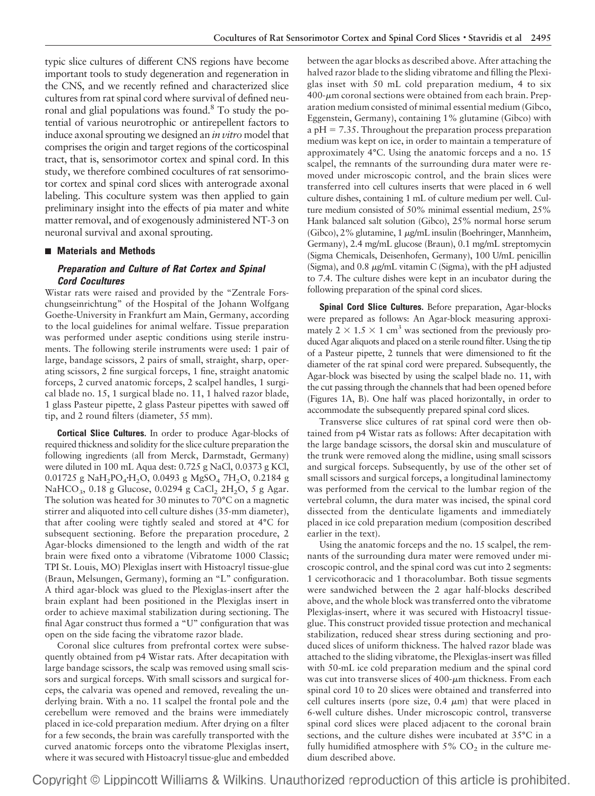typic slice cultures of different CNS regions have become important tools to study degeneration and regeneration in the CNS, and we recently refined and characterized slice cultures from rat spinal cord where survival of defined neuronal and glial populations was found.8 To study the potential of various neurotrophic or antirepellent factors to induce axonal sprouting we designed an *in vitro* model that comprises the origin and target regions of the corticospinal tract, that is, sensorimotor cortex and spinal cord. In this study, we therefore combined cocultures of rat sensorimotor cortex and spinal cord slices with anterograde axonal labeling. This coculture system was then applied to gain preliminary insight into the effects of pia mater and white matter removal, and of exogenously administered NT-3 on neuronal survival and axonal sprouting.

# **Materials and Methods**

# *Preparation and Culture of Rat Cortex and Spinal Cord Cocultures*

Wistar rats were raised and provided by the "Zentrale Forschungseinrichtung" of the Hospital of the Johann Wolfgang Goethe-University in Frankfurt am Main, Germany, according to the local guidelines for animal welfare. Tissue preparation was performed under aseptic conditions using sterile instruments. The following sterile instruments were used: 1 pair of large, bandage scissors, 2 pairs of small, straight, sharp, operating scissors, 2 fine surgical forceps, 1 fine, straight anatomic forceps, 2 curved anatomic forceps, 2 scalpel handles, 1 surgical blade no. 15, 1 surgical blade no. 11, 1 halved razor blade, 1 glass Pasteur pipette, 2 glass Pasteur pipettes with sawed off tip, and 2 round filters (diameter, 55 mm).

**Cortical Slice Cultures.** In order to produce Agar-blocks of required thickness and solidity for the slice culture preparation the following ingredients (all from Merck, Darmstadt, Germany) were diluted in 100 mL Aqua dest: 0.725 g NaCl, 0.0373 g KCl, 0.01725 g NaH<sub>2</sub>PO<sub>4</sub>·H<sub>2</sub>O, 0.0493 g MgSO<sub>4</sub> 7H<sub>2</sub>O, 0.2184 g NaHCO<sub>3</sub>, 0.18 g Glucose, 0.0294 g CaCl<sub>2</sub> 2H<sub>2</sub>O, 5 g Agar. The solution was heated for 30 minutes to 70°C on a magnetic stirrer and aliquoted into cell culture dishes (35-mm diameter), that after cooling were tightly sealed and stored at 4°C for subsequent sectioning. Before the preparation procedure, 2 Agar-blocks dimensioned to the length and width of the rat brain were fixed onto a vibratome (Vibratome 1000 Classic; TPI St. Louis, MO) Plexiglas insert with Histoacryl tissue-glue (Braun, Melsungen, Germany), forming an "L" configuration. A third agar-block was glued to the Plexiglas-insert after the brain explant had been positioned in the Plexiglas insert in order to achieve maximal stabilization during sectioning. The final Agar construct thus formed a "U" configuration that was open on the side facing the vibratome razor blade.

Coronal slice cultures from prefrontal cortex were subsequently obtained from p4 Wistar rats. After decapitation with large bandage scissors, the scalp was removed using small scissors and surgical forceps. With small scissors and surgical forceps, the calvaria was opened and removed, revealing the underlying brain. With a no. 11 scalpel the frontal pole and the cerebellum were removed and the brains were immediately placed in ice-cold preparation medium. After drying on a filter for a few seconds, the brain was carefully transported with the curved anatomic forceps onto the vibratome Plexiglas insert, where it was secured with Histoacryl tissue-glue and embedded between the agar blocks as described above. After attaching the halved razor blade to the sliding vibratome and filling the Plexiglas inset with 50 mL cold preparation medium, 4 to six  $400$ - $\mu$ m coronal sections were obtained from each brain. Preparation medium consisted of minimal essential medium (Gibco, Eggenstein, Germany), containing 1% glutamine (Gibco) with a  $pH = 7.35$ . Throughout the preparation process preparation medium was kept on ice, in order to maintain a temperature of approximately 4°C. Using the anatomic forceps and a no. 15 scalpel, the remnants of the surrounding dura mater were removed under microscopic control, and the brain slices were transferred into cell cultures inserts that were placed in 6 well culture dishes, containing 1 mL of culture medium per well. Culture medium consisted of 50% minimal essential medium, 25% Hank balanced salt solution (Gibco), 25% normal horse serum  $(Gibco)$ , 2% glutamine, 1  $\mu$ g/mL insulin (Boehringer, Mannheim, Germany), 2.4 mg/mL glucose (Braun), 0.1 mg/mL streptomycin (Sigma Chemicals, Deisenhofen, Germany), 100 U/mL penicillin (Sigma), and 0.8  $\mu$ g/mL vitamin C (Sigma), with the pH adjusted to 7.4. The culture dishes were kept in an incubator during the following preparation of the spinal cord slices.

**Spinal Cord Slice Cultures.** Before preparation, Agar-blocks were prepared as follows: An Agar-block measuring approximately  $2 \times 1.5 \times 1$  cm<sup>3</sup> was sectioned from the previously produced Agar aliquots and placed on a sterile round filter. Using the tip of a Pasteur pipette, 2 tunnels that were dimensioned to fit the diameter of the rat spinal cord were prepared. Subsequently, the Agar-block was bisected by using the scalpel blade no. 11, with the cut passing through the channels that had been opened before (Figures 1A, B). One half was placed horizontally, in order to accommodate the subsequently prepared spinal cord slices.

Transverse slice cultures of rat spinal cord were then obtained from p4 Wistar rats as follows: After decapitation with the large bandage scissors, the dorsal skin and musculature of the trunk were removed along the midline, using small scissors and surgical forceps. Subsequently, by use of the other set of small scissors and surgical forceps, a longitudinal laminectomy was performed from the cervical to the lumbar region of the vertebral column, the dura mater was incised, the spinal cord dissected from the denticulate ligaments and immediately placed in ice cold preparation medium (composition described earlier in the text).

Using the anatomic forceps and the no. 15 scalpel, the remnants of the surrounding dura mater were removed under microscopic control, and the spinal cord was cut into 2 segments: 1 cervicothoracic and 1 thoracolumbar. Both tissue segments were sandwiched between the 2 agar half-blocks described above, and the whole block was transferred onto the vibratome Plexiglas-insert, where it was secured with Histoacryl tissueglue. This construct provided tissue protection and mechanical stabilization, reduced shear stress during sectioning and produced slices of uniform thickness. The halved razor blade was attached to the sliding vibratome, the Plexiglas-insert was filled with 50-mL ice cold preparation medium and the spinal cord was cut into transverse slices of  $400$ - $\mu$ m thickness. From each spinal cord 10 to 20 slices were obtained and transferred into cell cultures inserts (pore size,  $0.4 \mu m$ ) that were placed in 6-well culture dishes. Under microscopic control, transverse spinal cord slices were placed adjacent to the coronal brain sections, and the culture dishes were incubated at 35°C in a fully humidified atmosphere with  $5\%$  CO<sub>2</sub> in the culture medium described above.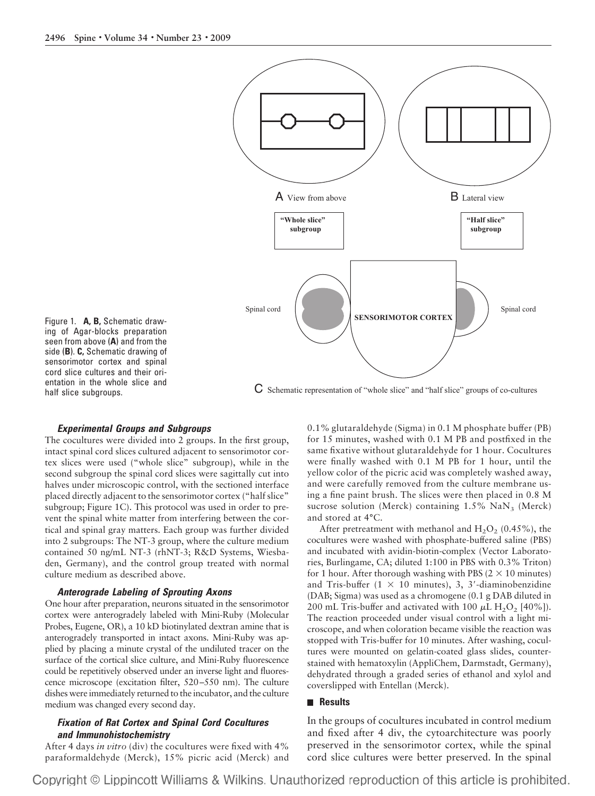

Figure 1. **A, B,** Schematic drawing of Agar-blocks preparation seen from above (**A**) and from the side (**B**). **C,** Schematic drawing of sensorimotor cortex and spinal cord slice cultures and their orientation in the whole slice and half slice subgroups.

#### C Schematic representation of "whole slice" and "half slice" groups of co-cultures

# *Experimental Groups and Subgroups*

The cocultures were divided into 2 groups. In the first group, intact spinal cord slices cultured adjacent to sensorimotor cortex slices were used ("whole slice" subgroup), while in the second subgroup the spinal cord slices were sagittally cut into halves under microscopic control, with the sectioned interface placed directly adjacent to the sensorimotor cortex ("half slice" subgroup; Figure 1C). This protocol was used in order to prevent the spinal white matter from interfering between the cortical and spinal gray matters. Each group was further divided into 2 subgroups: The NT-3 group, where the culture medium contained 50 ng/mL NT-3 (rhNT-3; R&D Systems, Wiesbaden, Germany), and the control group treated with normal culture medium as described above.

### *Anterograde Labeling of Sprouting Axons*

One hour after preparation, neurons situated in the sensorimotor cortex were anterogradely labeled with Mini-Ruby (Molecular Probes, Eugene, OR), a 10 kD biotinylated dextran amine that is anterogradely transported in intact axons. Mini-Ruby was applied by placing a minute crystal of the undiluted tracer on the surface of the cortical slice culture, and Mini-Ruby fluorescence could be repetitively observed under an inverse light and fluorescence microscope (excitation filter, 520–550 nm). The culture dishes were immediately returned to the incubator, and the culture medium was changed every second day.

# *Fixation of Rat Cortex and Spinal Cord Cocultures and Immunohistochemistry*

After 4 days *in vitro* (div) the cocultures were fixed with 4% paraformaldehyde (Merck), 15% picric acid (Merck) and 0.1% glutaraldehyde (Sigma) in 0.1 M phosphate buffer (PB) for 15 minutes, washed with 0.1 M PB and postfixed in the same fixative without glutaraldehyde for 1 hour. Cocultures were finally washed with 0.1 M PB for 1 hour, until the yellow color of the picric acid was completely washed away, and were carefully removed from the culture membrane using a fine paint brush. The slices were then placed in 0.8 M sucrose solution (Merck) containing  $1.5\%$  NaN<sub>3</sub> (Merck) and stored at 4°C.

After pretreatment with methanol and  $H_2O_2$  (0.45%), the cocultures were washed with phosphate-buffered saline (PBS) and incubated with avidin-biotin-complex (Vector Laboratories, Burlingame, CA; diluted 1:100 in PBS with 0.3% Triton) for 1 hour. After thorough washing with PBS ( $2 \times 10$  minutes) and Tris-buffer ( $1 \times 10$  minutes), 3, 3'-diaminobenzidine (DAB; Sigma) was used as a chromogene (0.1 g DAB diluted in 200 mL Tris-buffer and activated with 100  $\mu$ L H<sub>2</sub>O<sub>2</sub> [40%]). The reaction proceeded under visual control with a light microscope, and when coloration became visible the reaction was stopped with Tris-buffer for 10 minutes. After washing, cocultures were mounted on gelatin-coated glass slides, counterstained with hematoxylin (AppliChem, Darmstadt, Germany), dehydrated through a graded series of ethanol and xylol and coverslipped with Entellan (Merck).

#### **Results**

In the groups of cocultures incubated in control medium and fixed after 4 div, the cytoarchitecture was poorly preserved in the sensorimotor cortex, while the spinal cord slice cultures were better preserved. In the spinal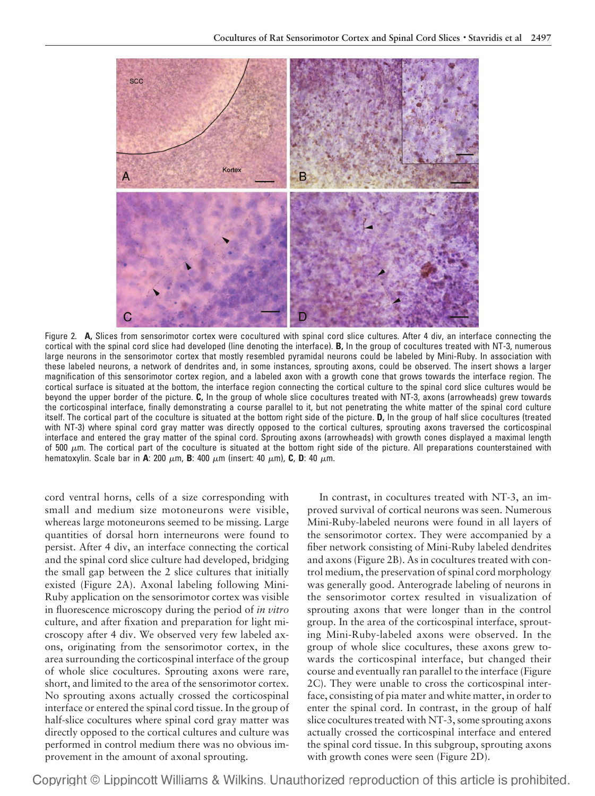

Figure 2. **A,** Slices from sensorimotor cortex were cocultured with spinal cord slice cultures. After 4 div, an interface connecting the cortical with the spinal cord slice had developed (line denoting the interface). **B,** In the group of cocultures treated with NT-3, numerous large neurons in the sensorimotor cortex that mostly resembled pyramidal neurons could be labeled by Mini-Ruby. In association with these labeled neurons, a network of dendrites and, in some instances, sprouting axons, could be observed. The insert shows a larger magnification of this sensorimotor cortex region, and a labeled axon with a growth cone that grows towards the interface region. The cortical surface is situated at the bottom, the interface region connecting the cortical culture to the spinal cord slice cultures would be beyond the upper border of the picture. **C,** In the group of whole slice cocultures treated with NT-3, axons (arrowheads) grew towards the corticospinal interface, finally demonstrating a course parallel to it, but not penetrating the white matter of the spinal cord culture itself. The cortical part of the coculture is situated at the bottom right side of the picture. **D,** In the group of half slice cocultures (treated with NT-3) where spinal cord gray matter was directly opposed to the cortical cultures, sprouting axons traversed the corticospinal interface and entered the gray matter of the spinal cord. Sprouting axons (arrowheads) with growth cones displayed a maximal length of 500  $\mu$ m. The cortical part of the coculture is situated at the bottom right side of the picture. All preparations counterstained with hematoxylin. Scale bar in A: 200  $\mu$ m, B: 400  $\mu$ m (insert: 40  $\mu$ m), C, D: 40  $\mu$ m.

cord ventral horns, cells of a size corresponding with small and medium size motoneurons were visible, whereas large motoneurons seemed to be missing. Large quantities of dorsal horn interneurons were found to persist. After 4 div, an interface connecting the cortical and the spinal cord slice culture had developed, bridging the small gap between the 2 slice cultures that initially existed (Figure 2A). Axonal labeling following Mini-Ruby application on the sensorimotor cortex was visible in fluorescence microscopy during the period of *in vitro* culture, and after fixation and preparation for light microscopy after 4 div. We observed very few labeled axons, originating from the sensorimotor cortex, in the area surrounding the corticospinal interface of the group of whole slice cocultures. Sprouting axons were rare, short, and limited to the area of the sensorimotor cortex. No sprouting axons actually crossed the corticospinal interface or entered the spinal cord tissue. In the group of half-slice cocultures where spinal cord gray matter was directly opposed to the cortical cultures and culture was performed in control medium there was no obvious improvement in the amount of axonal sprouting.

In contrast, in cocultures treated with NT-3, an improved survival of cortical neurons was seen. Numerous Mini-Ruby-labeled neurons were found in all layers of the sensorimotor cortex. They were accompanied by a fiber network consisting of Mini-Ruby labeled dendrites and axons (Figure 2B). As in cocultures treated with control medium, the preservation of spinal cord morphology was generally good. Anterograde labeling of neurons in the sensorimotor cortex resulted in visualization of sprouting axons that were longer than in the control group. In the area of the corticospinal interface, sprouting Mini-Ruby-labeled axons were observed. In the group of whole slice cocultures, these axons grew towards the corticospinal interface, but changed their course and eventually ran parallel to the interface (Figure 2C). They were unable to cross the corticospinal interface, consisting of pia mater and white matter, in order to enter the spinal cord. In contrast, in the group of half slice cocultures treated with NT-3, some sprouting axons actually crossed the corticospinal interface and entered the spinal cord tissue. In this subgroup, sprouting axons with growth cones were seen (Figure 2D).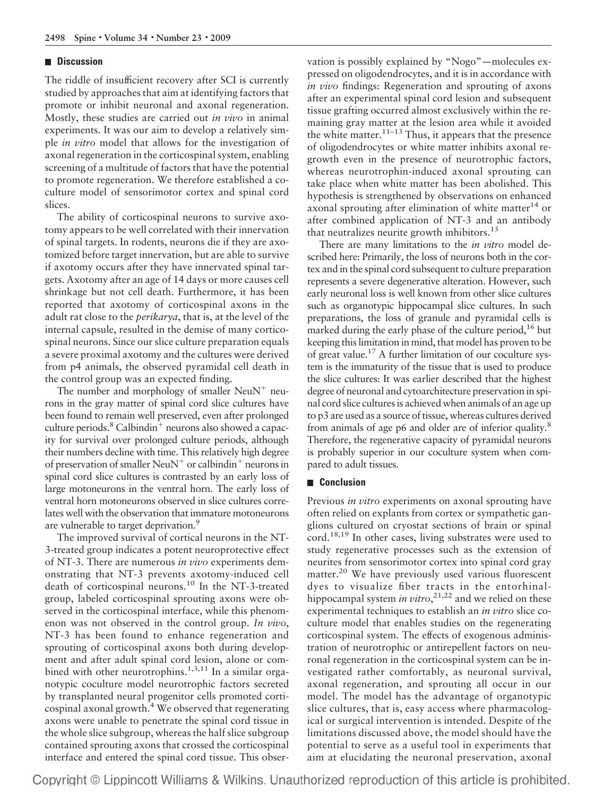# **Discussion**

The riddle of insufficient recovery after SCI is currently studied by approaches that aim at identifying factors that promote or inhibit neuronal and axonal regeneration. Mostly, these studies are carried out *in vivo* in animal experiments. It was our aim to develop a relatively simple *in vitro* model that allows for the investigation of axonal regeneration in the corticospinal system, enabling screening of a multitude of factors that have the potential to promote regeneration. We therefore established a coculture model of sensorimotor cortex and spinal cord slices.

The ability of corticospinal neurons to survive axotomy appears to be well correlated with their innervation of spinal targets. In rodents, neurons die if they are axotomized before target innervation, but are able to survive if axotomy occurs after they have innervated spinal targets. Axotomy after an age of 14 days or more causes cell shrinkage but not cell death. Furthermore, it has been reported that axotomy of corticospinal axons in the adult rat close to the *perikarya*, that is, at the level of the internal capsule, resulted in the demise of many corticospinal neurons. Since our slice culture preparation equals a severe proximal axotomy and the cultures were derived from p4 animals, the observed pyramidal cell death in the control group was an expected finding.

The number and morphology of smaller  $NeuN^{+}$  neurons in the gray matter of spinal cord slice cultures have been found to remain well preserved, even after prolonged culture periods. $8$  Calbindin<sup>+</sup> neurons also showed a capacity for survival over prolonged culture periods, although their numbers decline with time. This relatively high degree of preservation of smaller NeuN<sup>+</sup> or calbindin<sup>+</sup> neurons in spinal cord slice cultures is contrasted by an early loss of large motoneurons in the ventral horn. The early loss of ventral horn motoneurons observed in slice cultures correlates well with the observation that immature motoneurons are vulnerable to target deprivation.<sup>9</sup>

The improved survival of cortical neurons in the NT-3-treated group indicates a potent neuroprotective effect of NT-3. There are numerous *in vivo* experiments demonstrating that NT-3 prevents axotomy-induced cell death of corticospinal neurons.10 In the NT-3-treated group, labeled corticospinal sprouting axons were observed in the corticospinal interface, while this phenomenon was not observed in the control group. *In vivo*, NT-3 has been found to enhance regeneration and sprouting of corticospinal axons both during development and after adult spinal cord lesion, alone or combined with other neurotrophins.<sup>1,3,11</sup> In a similar organotypic coculture model neurotrophic factors secreted by transplanted neural progenitor cells promoted corticospinal axonal growth.4 We observed that regenerating axons were unable to penetrate the spinal cord tissue in the whole slice subgroup, whereas the half slice subgroup contained sprouting axons that crossed the corticospinal interface and entered the spinal cord tissue. This observation is possibly explained by "Nogo"—molecules expressed on oligodendrocytes, and it is in accordance with *in vivo* findings: Regeneration and sprouting of axons after an experimental spinal cord lesion and subsequent tissue grafting occurred almost exclusively within the remaining gray matter at the lesion area while it avoided the white matter.<sup>11–13</sup> Thus, it appears that the presence of oligodendrocytes or white matter inhibits axonal regrowth even in the presence of neurotrophic factors, whereas neurotrophin-induced axonal sprouting can take place when white matter has been abolished. This hypothesis is strengthened by observations on enhanced axonal sprouting after elimination of white matter<sup>14</sup> or after combined application of NT-3 and an antibody that neutralizes neurite growth inhibitors.<sup>15</sup>

There are many limitations to the *in vitro* model described here: Primarily, the loss of neurons both in the cortex and in the spinal cord subsequent to culture preparation represents a severe degenerative alteration. However, such early neuronal loss is well known from other slice cultures such as organotypic hippocampal slice cultures. In such preparations, the loss of granule and pyramidal cells is marked during the early phase of the culture period,  $16$  but keeping this limitation in mind, that model has proven to be of great value.17 A further limitation of our coculture system is the immaturity of the tissue that is used to produce the slice cultures: It was earlier described that the highest degree of neuronal and cytoarchitecture preservation in spinal cord slice cultures is achieved when animals of an age up to p3 are used as a source of tissue, whereas cultures derived from animals of age p6 and older are of inferior quality.8 Therefore, the regenerative capacity of pyramidal neurons is probably superior in our coculture system when compared to adult tissues.

## **Conclusion**

Previous *in vitro* experiments on axonal sprouting have often relied on explants from cortex or sympathetic ganglions cultured on cryostat sections of brain or spinal cord.<sup>18,19</sup> In other cases, living substrates were used to study regenerative processes such as the extension of neurites from sensorimotor cortex into spinal cord gray matter.<sup>20</sup> We have previously used various fluorescent dyes to visualize fiber tracts in the entorhinalhippocampal system *in vitro*, 21,22 and we relied on these experimental techniques to establish an *in vitro* slice coculture model that enables studies on the regenerating corticospinal system. The effects of exogenous administration of neurotrophic or antirepellent factors on neuronal regeneration in the corticospinal system can be investigated rather comfortably, as neuronal survival, axonal regeneration, and sprouting all occur in our model. The model has the advantage of organotypic slice cultures, that is, easy access where pharmacological or surgical intervention is intended. Despite of the limitations discussed above, the model should have the potential to serve as a useful tool in experiments that aim at elucidating the neuronal preservation, axonal